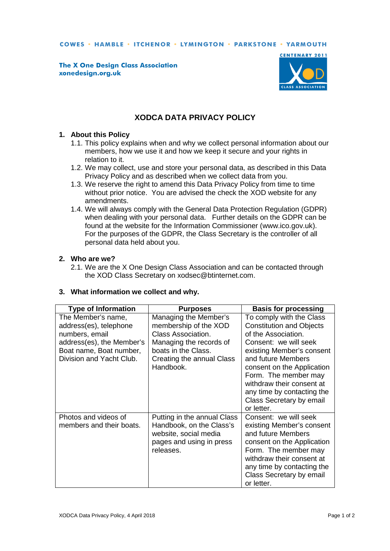COWES · HAMBLE · ITCHENOR · LYMINGTON · PARKSTONE · YARMOUTH

**The X One Design Class Association** xonedesign.org.uk



# **XODCA DATA PRIVACY POLICY**

#### **1. About this Policy**

- 1.1. This policy explains when and why we collect personal information about our members, how we use it and how we keep it secure and your rights in relation to it.
- 1.2. We may collect, use and store your personal data, as described in this Data Privacy Policy and as described when we collect data from you.
- 1.3. We reserve the right to amend this Data Privacy Policy from time to time without prior notice. You are advised the check the XOD website for any amendments.
- 1.4. We will always comply with the General Data Protection Regulation (GDPR) when dealing with your personal data. Further details on the GDPR can be found at the website for the Information Commissioner (www.ico.gov.uk). For the purposes of the GDPR, the Class Secretary is the controller of all personal data held about you.

### **2. Who are we?**

2.1. We are the X One Design Class Association and can be contacted through the XOD Class Secretary on xodsec@btinternet.com.

### **3. What information we collect and why.**

| <b>Type of Information</b>                                                                                                                         | <b>Purposes</b>                                                                                                                                                         | <b>Basis for processing</b>                                                                                                                                                                                                                                                                                               |
|----------------------------------------------------------------------------------------------------------------------------------------------------|-------------------------------------------------------------------------------------------------------------------------------------------------------------------------|---------------------------------------------------------------------------------------------------------------------------------------------------------------------------------------------------------------------------------------------------------------------------------------------------------------------------|
| The Member's name,<br>address(es), telephone<br>numbers, email<br>address(es), the Member's<br>Boat name, Boat number,<br>Division and Yacht Club. | Managing the Member's<br>membership of the XOD<br><b>Class Association.</b><br>Managing the records of<br>boats in the Class.<br>Creating the annual Class<br>Handbook. | To comply with the Class<br><b>Constitution and Objects</b><br>of the Association.<br>Consent: we will seek<br>existing Member's consent<br>and future Members<br>consent on the Application<br>Form. The member may<br>withdraw their consent at<br>any time by contacting the<br>Class Secretary by email<br>or letter. |
| Photos and videos of<br>members and their boats.                                                                                                   | Putting in the annual Class<br>Handbook, on the Class's<br>website, social media<br>pages and using in press<br>releases.                                               | Consent: we will seek<br>existing Member's consent<br>and future Members<br>consent on the Application<br>Form. The member may<br>withdraw their consent at<br>any time by contacting the<br>Class Secretary by email<br>or letter.                                                                                       |